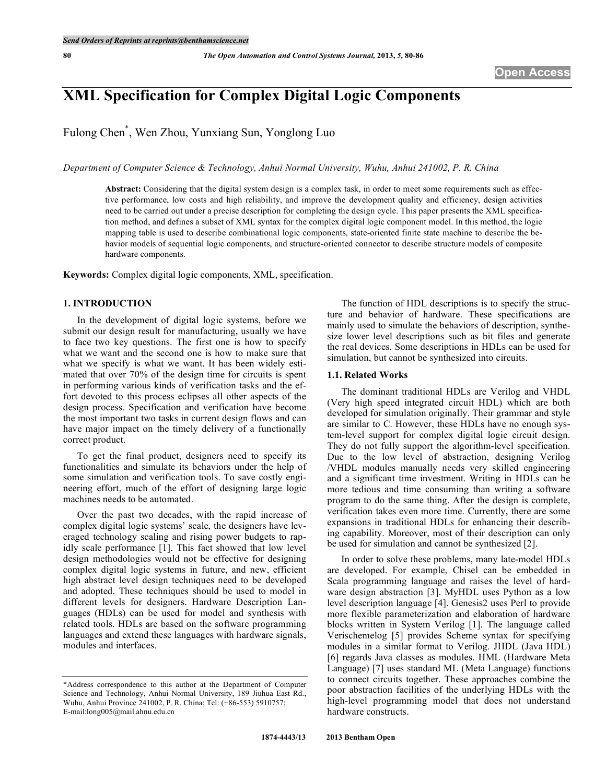# **XML Specification for Complex Digital Logic Components**

Fulong Chen\* , Wen Zhou, Yunxiang Sun, Yonglong Luo

*Department of Computer Science & Technology, Anhui Normal University, Wuhu, Anhui 241002, P. R. China*

**Abstract:** Considering that the digital system design is a complex task, in order to meet some requirements such as effective performance, low costs and high reliability, and improve the development quality and efficiency, design activities need to be carried out under a precise description for completing the design cycle. This paper presents the XML specification method, and defines a subset of XML syntax for the complex digital logic component model. In this method, the logic mapping table is used to describe combinational logic components, state-oriented finite state machine to describe the behavior models of sequential logic components, and structure-oriented connector to describe structure models of composite hardware components.

**Keywords:** Complex digital logic components, XML, specification.

# **1. INTRODUCTION**

In the development of digital logic systems, before we submit our design result for manufacturing, usually we have to face two key questions. The first one is how to specify what we want and the second one is how to make sure that what we specify is what we want. It has been widely estimated that over 70% of the design time for circuits is spent in performing various kinds of verification tasks and the effort devoted to this process eclipses all other aspects of the design process. Specification and verification have become the most important two tasks in current design flows and can have major impact on the timely delivery of a functionally correct product.

To get the final product, designers need to specify its functionalities and simulate its behaviors under the help of some simulation and verification tools. To save costly engineering effort, much of the effort of designing large logic machines needs to be automated.

Over the past two decades, with the rapid increase of complex digital logic systems' scale, the designers have leveraged technology scaling and rising power budgets to rapidly scale performance [1]. This fact showed that low level design methodologies would not be effective for designing complex digital logic systems in future, and new, efficient high abstract level design techniques need to be developed and adopted. These techniques should be used to model in different levels for designers. Hardware Description Languages (HDLs) can be used for model and synthesis with related tools. HDLs are based on the software programming languages and extend these languages with hardware signals, modules and interfaces.

The function of HDL descriptions is to specify the structure and behavior of hardware. These specifications are mainly used to simulate the behaviors of description, synthesize lower level descriptions such as bit files and generate the real devices. Some descriptions in HDLs can be used for simulation, but cannot be synthesized into circuits.

# **1.1. Related Works**

The dominant traditional HDLs are Verilog and VHDL (Very high speed integrated circuit HDL) which are both developed for simulation originally. Their grammar and style are similar to C. However, these HDLs have no enough system-level support for complex digital logic circuit design. They do not fully support the algorithm-level specification. Due to the low level of abstraction, designing Verilog /VHDL modules manually needs very skilled engineering and a significant time investment. Writing in HDLs can be more tedious and time consuming than writing a software program to do the same thing. After the design is complete, verification takes even more time. Currently, there are some expansions in traditional HDLs for enhancing their describing capability. Moreover, most of their description can only be used for simulation and cannot be synthesized [2].

In order to solve these problems, many late-model HDLs are developed. For example, Chisel can be embedded in Scala programming language and raises the level of hardware design abstraction [3]. MyHDL uses Python as a low level description language [4]. Genesis2 uses Perl to provide more flexible parameterization and elaboration of hardware blocks written in System Verilog [1]. The language called Verischemelog [5] provides Scheme syntax for specifying modules in a similar format to Verilog. JHDL (Java HDL) [6] regards Java classes as modules. HML (Hardware Meta Language) [7] uses standard ML (Meta Language) functions to connect circuits together. These approaches combine the poor abstraction facilities of the underlying HDLs with the high-level programming model that does not understand hardware constructs.

<sup>\*</sup>Address correspondence to this author at the Department of Computer Science and Technology, Anhui Normal University, 189 Jiuhua East Rd., Wuhu, Anhui Province 241002, P. R. China; Tel: (+86-553) 5910757; E-mail:long005@mail.ahnu.edu.cn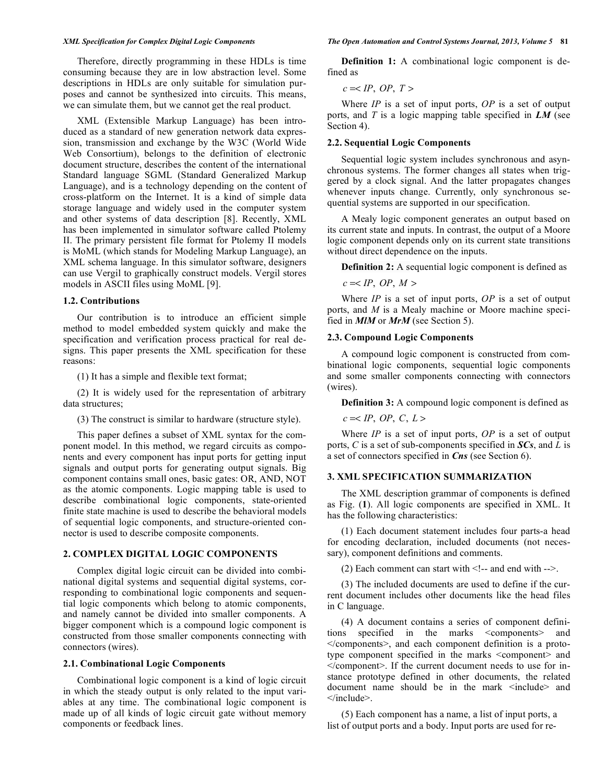Therefore, directly programming in these HDLs is time consuming because they are in low abstraction level. Some descriptions in HDLs are only suitable for simulation purposes and cannot be synthesized into circuits. This means, we can simulate them, but we cannot get the real product.

XML (Extensible Markup Language) has been introduced as a standard of new generation network data expression, transmission and exchange by the W3C (World Wide Web Consortium), belongs to the definition of electronic document structure, describes the content of the international Standard language SGML (Standard Generalized Markup Language), and is a technology depending on the content of cross-platform on the Internet. It is a kind of simple data storage language and widely used in the computer system and other systems of data description [8]. Recently, XML has been implemented in simulator software called Ptolemy II. The primary persistent file format for Ptolemy II models is MoML (which stands for Modeling Markup Language), an XML schema language. In this simulator software, designers can use Vergil to graphically construct models. Vergil stores models in ASCII files using MoML [9].

#### **1.2. Contributions**

Our contribution is to introduce an efficient simple method to model embedded system quickly and make the specification and verification process practical for real designs. This paper presents the XML specification for these reasons:

(1) It has a simple and flexible text format;

(2) It is widely used for the representation of arbitrary data structures;

(3) The construct is similar to hardware (structure style).

This paper defines a subset of XML syntax for the component model. In this method, we regard circuits as components and every component has input ports for getting input signals and output ports for generating output signals. Big component contains small ones, basic gates: OR, AND, NOT as the atomic components. Logic mapping table is used to describe combinational logic components, state-oriented finite state machine is used to describe the behavioral models of sequential logic components, and structure-oriented connector is used to describe composite components.

# **2. COMPLEX DIGITAL LOGIC COMPONENTS**

Complex digital logic circuit can be divided into combinational digital systems and sequential digital systems, corresponding to combinational logic components and sequential logic components which belong to atomic components, and namely cannot be divided into smaller components. A bigger component which is a compound logic component is constructed from those smaller components connecting with connectors (wires).

### **2.1. Combinational Logic Components**

Combinational logic component is a kind of logic circuit in which the steady output is only related to the input variables at any time. The combinational logic component is made up of all kinds of logic circuit gate without memory components or feedback lines.

**Definition 1:** A combinational logic component is defined as

 $c = ,  $OP$ ,  $T >$$ 

Where *IP* is a set of input ports, *OP* is a set of output ports, and *T* is a logic mapping table specified in *LM* (see Section 4).

#### **2.2. Sequential Logic Components**

Sequential logic system includes synchronous and asynchronous systems. The former changes all states when triggered by a clock signal. And the latter propagates changes whenever inputs change. Currently, only synchronous sequential systems are supported in our specification.

A Mealy logic component generates an output based on its current state and inputs. In contrast, the output of a Moore logic component depends only on its current state transitions without direct dependence on the inputs.

**Definition 2:** A sequential logic component is defined as

 $c = ,  $OP$ ,  $M>$$ 

Where *IP* is a set of input ports, *OP* is a set of output ports, and *M* is a Mealy machine or Moore machine specified in *MlM* or *MrM* (see Section 5).

### **2.3. Compound Logic Components**

A compound logic component is constructed from combinational logic components, sequential logic components and some smaller components connecting with connectors (wires).

**Definition 3:** A compound logic component is defined as

 $c = ,  $OP$ ,  $C$ ,  $L>$$ 

Where *IP* is a set of input ports, *OP* is a set of output ports, *C* is a set of sub-components specified in *SCs*, and *L* is a set of connectors specified in *Cns* (see Section 6).

#### **3. XML SPECIFICATION SUMMARIZATION**

The XML description grammar of components is defined as Fig. (**1**). All logic components are specified in XML. It has the following characteristics:

(1) Each document statement includes four parts-a head for encoding declaration, included documents (not necessary), component definitions and comments.

(2) Each comment can start with  $\leq$  -- and end with -->.

(3) The included documents are used to define if the current document includes other documents like the head files in C language.

(4) A document contains a series of component definitions specified in the marks <components> and </components>, and each component definition is a prototype component specified in the marks <component> and </component>. If the current document needs to use for instance prototype defined in other documents, the related document name should be in the mark <include> and </include>.

(5) Each component has a name, a list of input ports, a list of output ports and a body. Input ports are used for re-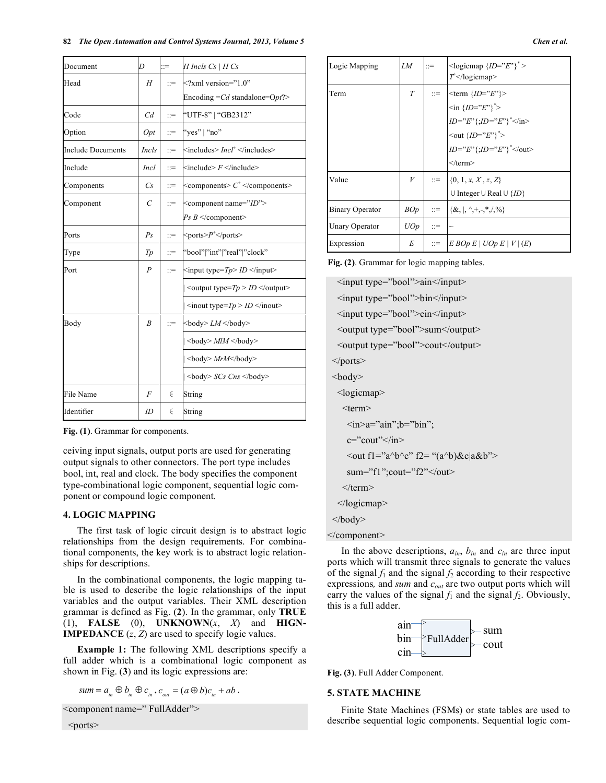#### **82** *The Open Automation and Control Systems Journal, 2013, Volume 5 Chen et al.*

| Document                 | D                | $\equiv$       | $H$ Incls $Cs$   $H$ $Cs$                                                                                                                                      |
|--------------------------|------------------|----------------|----------------------------------------------------------------------------------------------------------------------------------------------------------------|
| Head                     | H                | $\mathbf{r} =$ | $\leq$ ?xml version="1.0"                                                                                                                                      |
|                          |                  |                | Encoding $=Cd$ standalone= $Opt$ ?>                                                                                                                            |
| Code                     | C <sub>d</sub>   | $\equiv$       | "UTF-8"   "GB2312"                                                                                                                                             |
| Option                   | Opt              | $\equiv$       | "yes"   "no"                                                                                                                                                   |
| <b>Include Documents</b> | <i>Incls</i>     | $\equiv$       | $\langle$ includes $>$ <i>Incl</i> <sup>+</sup> $\langle$ /includes $>$                                                                                        |
| Include                  | <i>Incl</i>      | $\equiv$       | $\le$ include $\geq$ $F \leq$ /include $\geq$                                                                                                                  |
| Components               | Cs               | $\equiv$       | $\leq$ components> $C^+ \leq$ /components>                                                                                                                     |
| Component                | $\mathcal{C}$    | $\equiv$       | <component name="ID"></component>                                                                                                                              |
|                          |                  |                | $Ps \, B \leq$ /component>                                                                                                                                     |
| Ports                    | Ps               | $\equiv$       | $<$ ports> $P^+$ $<$ /ports>                                                                                                                                   |
| Type                     | T p              | $\equiv$       | "bool" "int" "real" "clock"                                                                                                                                    |
| Port                     | $\boldsymbol{P}$ | $\equiv$       | $\le$ input type= <i>Tp&gt; ID</i> $\le$ /input>                                                                                                               |
|                          |                  |                | $ $ < output type= $Tp > ID$                                                                                                                                   |
|                          |                  |                | $ \langle$ sinout type= $Tp > ID \langle$ inout>                                                                                                               |
| Body                     | B                | $\cdots$       | $ $<br>body> $LM$                                                                                                                                              |
|                          |                  |                | $\vert$<br>body> MlM                                                                                                                                           |
|                          |                  |                | <br>l<br>l<br>l<br>d<br>d<br>d<br>d<br>d<br>d<br>d<br>d<br><br><br><br><br><br><br><br><br><br><br><br><br><br><br><br><br><br><br><br><br><br><b< td=""></b<> |
|                          |                  |                | $ \text{<}body\text{>SCs} \text{ Cns} \text{<}/body\text{>}$                                                                                                   |
| File Name                | F                | $\in$          | String                                                                                                                                                         |
| Identifier               | ID               | $\in$          | String                                                                                                                                                         |

**Fig. (1)**. Grammar for components.

ceiving input signals, output ports are used for generating output signals to other connectors. The port type includes bool, int, real and clock. The body specifies the component type-combinational logic component, sequential logic component or compound logic component.

#### **4. LOGIC MAPPING**

The first task of logic circuit design is to abstract logic relationships from the design requirements. For combinational components, the key work is to abstract logic relationships for descriptions.

In the combinational components, the logic mapping table is used to describe the logic relationships of the input variables and the output variables. Their XML description grammar is defined as Fig. (**2**). In the grammar, only **TRUE**  $(1)$ , **FALSE**  $(0)$ , **UNKNOWN** $(x, X)$  and **HIGN**-**IMPEDANCE**  $(z, Z)$  are used to specify logic values.

**Example 1:** The following XML descriptions specify a full adder which is a combinational logic component as shown in Fig. (**3**) and its logic expressions are:

$$
sum = a_{in} \oplus b_{in} \oplus c_{in}^{\dagger}, c_{out}^{\dagger} = (a \oplus b)c_{in} + ab.
$$

<component name=" FullAdder">

 $<$ ports $>$ 

| Logic Mapping         | LM         | $\mathbb{R}^{\mathbb{Z}}$ | $\langle$ logicmap ${ID = "E"'}^*$<br>$T^{\dagger}$                                     |
|-----------------------|------------|---------------------------|-----------------------------------------------------------------------------------------|
| Term                  | T          |                           | $\equiv$ <term <math="">\{ID = "E"\}<br/><math>\{\sin\{ID = "E"\}^*\}</math></term>     |
|                       |            |                           | $ID = "E" \{ :ID = "E" \}$ "                                                            |
|                       |            |                           | $\{\text{out } \{ID = "E"\}^*\}$<br>$ID = "E" \{;ID = "E" \}^* $                        |
|                       |            |                           | $<$ /term $>$                                                                           |
| Value                 | V          |                           | $\mathbb{R} = \{0, 1, x, X, z, Z\}$<br>∪ Integer ∪ Real ∪ $\{ID\}$                      |
| Binary Operator       | <i>BOp</i> |                           | $\therefore$ $\{\&$ , $\&$ , $\uparrow$ , $\uparrow$ , $\uparrow$ , $\langle$ , $\circ$ |
| <b>Unary Operator</b> | UOp        | ∷≕                        | $\widetilde{\phantom{m}}$                                                               |
| Expression            | E          |                           | $\equiv$ $ E BOp E   UOp E   V   (E)$                                                   |

**Fig. (2)**. Grammar for logic mapping tables.

<input type="bool">ain</input> <input type="bool">bin</input> <input type="bool">cin</input> <output type="bool">sum</output> <output type="bool">cout</output> </ports>  $<$ body $>$ <logicmap> <term>  $\langle$ in $>a$ ="ain";b="bin"; c="cout"</in>  $\langle$ out fl="a^b^c" f2= "(a^b)&c|a&b"> sum="f1";cout="f2"</out>  $\le$ /term> </logicmap> </body> </component>

In the above descriptions,  $a_{in}$ ,  $b_{in}$  and  $c_{in}$  are three input ports which will transmit three signals to generate the values of the signal  $f_1$  and the signal  $f_2$  according to their respective expressions*,* and *sum* and *cout* are two output ports which will carry the values of the signal  $f_1$  and the signal  $f_2$ . Obviously, this is a full adder.



**Fig. (3)**. Full Adder Component.

# **5. STATE MACHINE**

Finite State Machines (FSMs) or state tables are used to describe sequential logic components. Sequential logic com-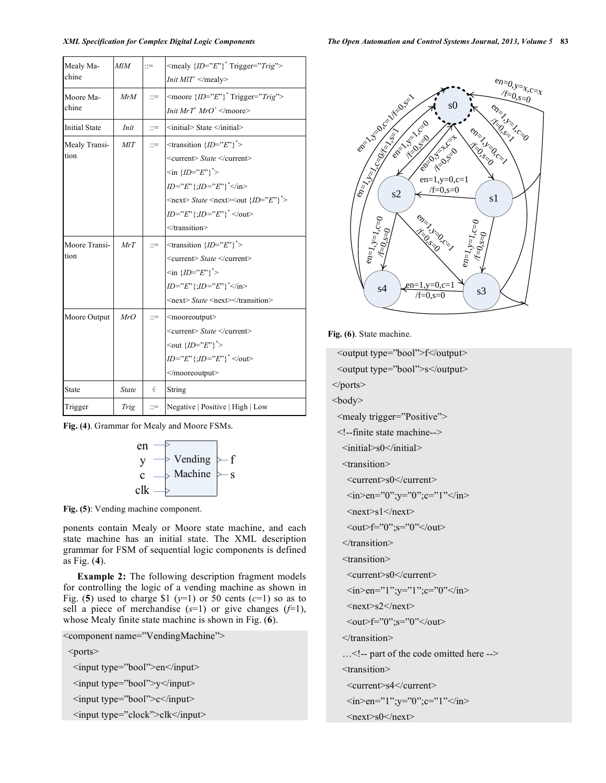| Mealy Ma-            | M/M          | $\mathbb{R}^+$ | $\langle$ mealy ${ID = "E"}$ <sup>*</sup> Trigger=" <i>Trig</i> "><br><i>Init MIT</i> <sup><math>+</math></sup> |  |
|----------------------|--------------|----------------|-----------------------------------------------------------------------------------------------------------------|--|
| chine                |              |                |                                                                                                                 |  |
| Moore Ma-            | MrM          | $\equiv$       | <moore <math="">{ID="F"F"}<sup>*</sup> Trigger="Trig"&gt;</moore>                                               |  |
| chine                |              |                | <i>Init MrT<sup>+</sup> MrO<sup>+</sup> </i>                                                                    |  |
| <b>Initial State</b> | Init         | $\mathbf{r} =$ | <initial> State </initial>                                                                                      |  |
| Mealy Transi-        | MIT          | $\mathbf{r}$   | $\langle$ -transition ${ID = "E" }^*$                                                                           |  |
| tion                 |              |                | <current> State </current>                                                                                      |  |
|                      |              |                | $\{\ln\{ID = "E"\}^*\}$                                                                                         |  |
|                      |              |                | $ID="E" {\{;} ID="E"\}^* {\{;} ID="E"\}^* {\langle} {\{in\}}$                                                   |  |
|                      |              |                | $\langle$ next> State $\langle$ next> $\langle$ out ${ID="F" \rangle}^*$ >                                      |  |
|                      |              |                | $ID = "E";ID = "E"$ ; $\langle$ /out>                                                                           |  |
|                      |              |                | $<$ /transition>                                                                                                |  |
| Moore Transi-        | MrT          | $\mathbb{R}^m$ | $\langle$ transition ${ID = "E" }^*$                                                                            |  |
| tion                 |              |                | <current> State </current>                                                                                      |  |
|                      |              |                | $\langle$ in { <i>ID</i> =" <i>E</i> "} <sup>*</sup> >                                                          |  |
|                      |              |                | $ID = "E" \{ ;ID = "E" \}^* < I$ in>                                                                            |  |
|                      |              |                | <next> State <next></next></next>                                                                               |  |
| Moore Output         | MrO          | $\mathbb{R}^2$ | <mooreoutput></mooreoutput>                                                                                     |  |
|                      |              |                | <current> State </current>                                                                                      |  |
|                      |              |                | $\{\text{out } \{ID = "E"\}^*\}$                                                                                |  |
|                      |              |                | $ID = "E" \{ ;ID = "E" \}^* \langle out \rangle$                                                                |  |
|                      |              |                |                                                                                                                 |  |
| <b>State</b>         | <b>State</b> | $\in$          | String                                                                                                          |  |
| Trigger              | Trig         | $\equiv$       | Negative   Positive   High   Low                                                                                |  |

**Fig. (4)**. Grammar for Mealy and Moore FSMs.



**Fig. (5)**: Vending machine component.

ponents contain Mealy or Moore state machine, and each state machine has an initial state. The XML description grammar for FSM of sequential logic components is defined as Fig. (**4**).

**Example 2:** The following description fragment models for controlling the logic of a vending machine as shown in Fig. (5) used to charge \$1 ( $y=1$ ) or 50 cents ( $c=1$ ) so as to sell a piece of merchandise (*s*=1) or give changes (*f*=1), whose Mealy finite state machine is shown in Fig. (**6**).

<component name="VendingMachine"> <ports> <input type="bool">en</input> <input type="bool">y</input> <input type="bool">c</input> <input type="clock">clk</input>



**Fig. (6)**. State machine.

<output type="bool">f</output> <output type="bool">s</output> </ports> <body> <mealy trigger="Positive"> <!--finite state machine--> <initial>s0</initial> <transition> <current>s0</current>  $\langle \text{in} \rangle \text{en} = "0"$ ; y="0"; c="1" $\langle \text{in} \rangle$  $<sub>next>s1</sub><sub>max</sub>$ </sub>  $\langle out \rangle f = "0"$ ; s="0" $\langle out \rangle$ </transition> <transition> <current>s0</current>  $\langle$ in>en="1";y="1";c="0" $\langle$ in>  $<$ next>s2 $<$ /next>  $\langle out \rangle f = "0"$ ; s="0" $\langle out \rangle$ </transition> …<!-- part of the code omitted here --> <transition> <current>s4</current>  $\langle$ in>en="1";y="0";c="1" $\langle$ in>  $<sub>next>s0</sub><sub>next></sub>$ </sub>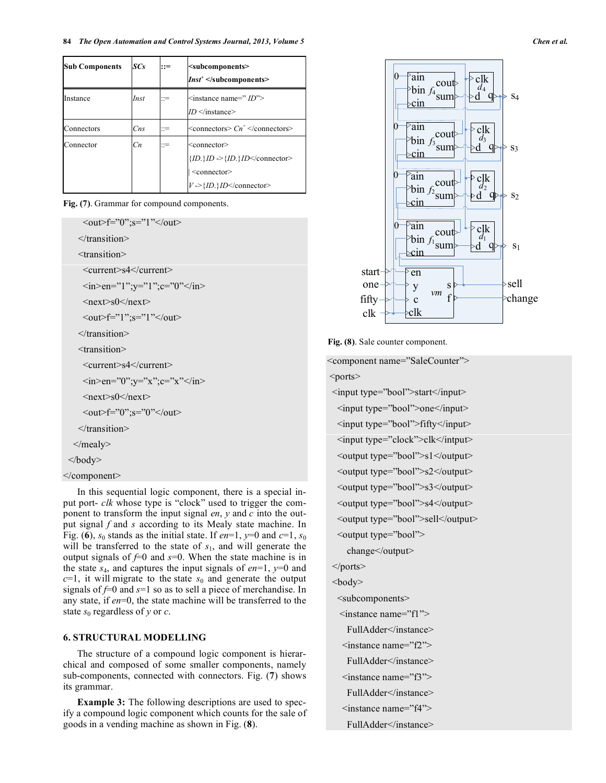| <b>Sub Components</b> | SCs            | $::=$ | <subcomponents><br/><math>\textit{Inst}^+</math> </subcomponents>                                                                                                                                                       |
|-----------------------|----------------|-------|-------------------------------------------------------------------------------------------------------------------------------------------------------------------------------------------------------------------------|
| Instance              | Inst           | ::≔   | $\leq$ instance name=" $ID$ "><br>$ID$                                                                                                                                                                                  |
| Connectors            | $C$ ns         | ∷=    | $\leq$ connectors $> Cn^+ \leq$ /connectors $>$                                                                                                                                                                         |
| Connector             | C <sub>n</sub> | ::≔   | <connector><br/><math>\{ID.\}ID \rightarrow \{ID.\} ID \le \text{connector}</math><br/><math>\leq</math>connector<math>\geq</math><br/><math>V \rightarrow \{ID.\}</math> ID <math>\le</math>/connector&gt;</connector> |

**Fig. (7)**. Grammar for compound components.

 $\langle out \rangle f = "0"$ ; s="1" $\langle out \rangle$ 

</transition>

<transition>

<current>s4</current>

```
\langlein>en="1";y="1";c="0"\langlein>
```
 $<sub>next>s0</sub></sub>$ 

<out>f="1";s="1"</out>

</transition>

<transition>

<current>s4</current>

```
\langle \text{in} \rangle \text{en} = "0"; y="x"; c="x"\langle \text{in} \rangle
```
 $<sub>next>s0</sub><sub>next></sub>$ </sub>

```
\langle out \rangle f = "0"; s="0"\langle out \rangle
```
</transition>

</mealy>

</body>

```
</component>
```
In this sequential logic component, there is a special input port- *clk* whose type is "clock" used to trigger the component to transform the input signal *en*, *y* and *c* into the output signal *f* and *s* according to its Mealy state machine. In Fig. (6),  $s_0$  stands as the initial state. If *en*=1,  $y=0$  and  $c=1$ ,  $s_0$ will be transferred to the state of  $s<sub>1</sub>$ , and will generate the output signals of  $f=0$  and  $s=0$ . When the state machine is in the state  $s_4$ , and captures the input signals of  $en=1$ ,  $y=0$  and  $c=1$ , it will migrate to the state  $s<sub>0</sub>$  and generate the output signals of *f*=0 and *s*=1 so as to sell a piece of merchandise. In any state, if *en*=0, the state machine will be transferred to the state  $s_0$  regardless of *y* or *c*.

# **6. STRUCTURAL MODELLING**

The structure of a compound logic component is hierarchical and composed of some smaller components, namely sub-components, connected with connectors. Fig. (**7**) shows its grammar.

**Example 3:** The following descriptions are used to specify a compound logic component which counts for the sale of goods in a vending machine as shown in Fig. (**8**).



**Fig. (8)**. Sale counter component.

<component name="SaleCounter"> <ports>

<input type="bool">start</input> <input type="bool">one</input> <input type="bool">fifty</input> <input type="clock">clk</intput> <output type="bool">s1</output> <output type="bool">s2</output> <output type="bool">s3</output> <output type="bool">s4</output> <output type="bool">sell</output> <output type="bool"> change</output> </ports> <body> <subcomponents> <instance name="f1"> FullAdder</instance> <instance name="f2"> FullAdder</instance>  $\leq$ instance name="f3"> FullAdder</instance> <instance name="f4">

FullAdder</instance>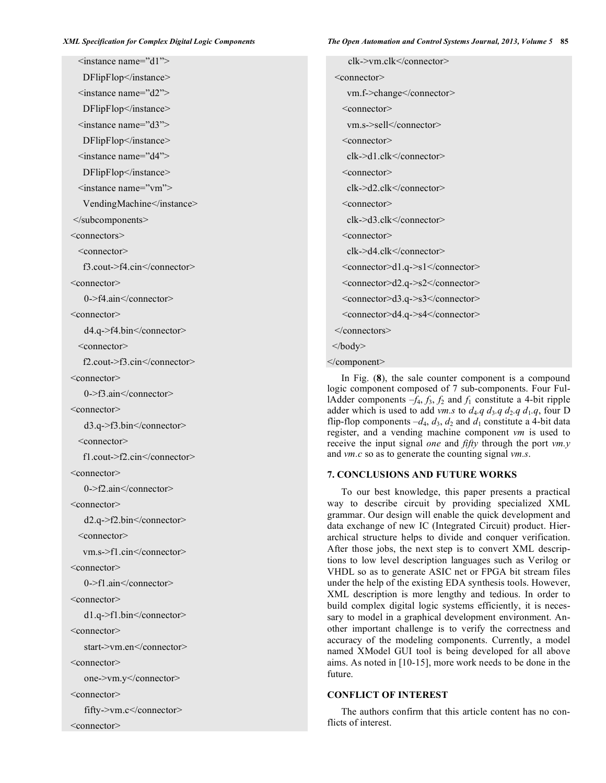<instance name="d1"> DFlipFlop</instance>  $\langle$ instance name="d2"> DFlipFlop</instance>  $\leq$ instance name="d3"> DFlipFlop</instance> <instance name="d4"> DFlipFlop</instance> <instance name="vm"> VendingMachine</instance> </subcomponents> <connectors> <connector> f3.cout->f4.cin</connector> <connector> 0->f4.ain</connector> <connector> d4.q->f4.bin</connector> <connector> f2.cout->f3.cin</connector> <connector> 0->f3.ain</connector> <connector> d3.q->f3.bin</connector> <connector> f1.cout->f2.cin</connector> <connector> 0->f2.ain</connector> <connector> d2.q->f2.bin</connector> <connector> vm.s->f1.cin</connector> <connector> 0->f1.ain</connector> <connector> d1.q->f1.bin</connector> <connector> start->vm.en</connector> <connector> one->vm.y</connector> <connector> fifty->vm.c</connector> <connector>

clk->vm.clk</connector> <connector> vm.f->change</connector> <connector> vm.s->sell</connector> <connector> clk->d1.clk</connector> <connector> clk->d2.clk</connector> <connector> clk->d3.clk</connector> <connector> clk->d4.clk</connector> <connector>d1.q->s1</connector> <connector>d2.q->s2</connector> <connector>d3.q->s3</connector> <connector>d4.q->s4</connector> </connectors> </body> </component>

In Fig. (**8**), the sale counter component is a compound logic component composed of 7 sub-components. Four FullAdder components  $-f_4$ ,  $f_3$ ,  $f_2$  and  $f_1$  constitute a 4-bit ripple adder which is used to add *vm.s* to  $d_4$ *.q*  $d_3$ *.q*  $d_2$ *.q*  $d_1$ *.q*, four D flip-flop components  $-d_4$ ,  $d_3$ ,  $d_2$  and  $d_1$  constitute a 4-bit data register, and a vending machine component *vm* is used to receive the input signal *one* and *fifty* through the port *vm.y* and *vm.c* so as to generate the counting signal *vm.s*.

# **7. CONCLUSIONS AND FUTURE WORKS**

To our best knowledge, this paper presents a practical way to describe circuit by providing specialized XML grammar. Our design will enable the quick development and data exchange of new IC (Integrated Circuit) product. Hierarchical structure helps to divide and conquer verification. After those jobs, the next step is to convert XML descriptions to low level description languages such as Verilog or VHDL so as to generate ASIC net or FPGA bit stream files under the help of the existing EDA synthesis tools. However, XML description is more lengthy and tedious. In order to build complex digital logic systems efficiently, it is necessary to model in a graphical development environment. Another important challenge is to verify the correctness and accuracy of the modeling components. Currently, a model named XModel GUI tool is being developed for all above aims. As noted in [10-15], more work needs to be done in the future.

#### **CONFLICT OF INTEREST**

The authors confirm that this article content has no conflicts of interest.